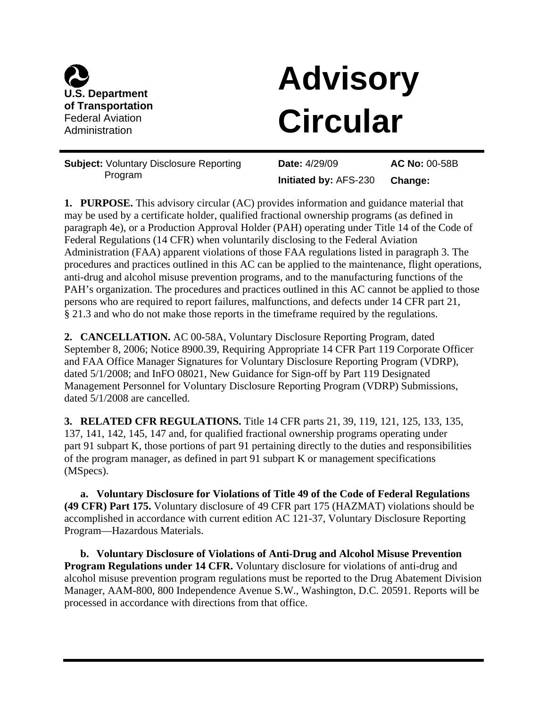

# **Advisory Circular**

**Subject:** Voluntary Disclosure Reporting Program

**Date:** 4/29/09 **Initiated by:** AFS-230 **AC No:** 00-58B **Change:**

**1. PURPOSE.** This advisory circular (AC) provides information and guidance material that may be used by a certificate holder, qualified fractional ownership programs (as defined in paragraph 4e), or a Production Approval Holder (PAH) operating under Title 14 of the Code of Federal Regulations (14 CFR) when voluntarily disclosing to the Federal Aviation Administration (FAA) apparent violations of those FAA regulations listed in paragraph 3. The procedures and practices outlined in this AC can be applied to the maintenance, flight operations, anti-drug and alcohol misuse prevention programs, and to the manufacturing functions of the PAH's organization. The procedures and practices outlined in this AC cannot be applied to those persons who are required to report failures, malfunctions, and defects under 14 CFR part 21, § 21.3 and who do not make those reports in the timeframe required by the regulations.

**2. CANCELLATION.** AC 00-58A, Voluntary Disclosure Reporting Program, dated September 8, 2006; Notice 8900.39, Requiring Appropriate 14 CFR Part 119 Corporate Officer and FAA Office Manager Signatures for Voluntary Disclosure Reporting Program (VDRP), dated 5/1/2008; and InFO 08021, New Guidance for Sign-off by Part 119 Designated Management Personnel for Voluntary Disclosure Reporting Program (VDRP) Submissions, dated 5/1/2008 are cancelled.

**3. RELATED CFR REGULATIONS.** Title 14 CFR parts 21, 39, 119, 121, 125, 133, 135, 137, 141, 142, 145, 147 and, for qualified fractional ownership programs operating under part 91 subpart K, those portions of part 91 pertaining directly to the duties and responsibilities of the program manager, as defined in part 91 subpart K or management specifications (MSpecs).

**a. Voluntary Disclosure for Violations of Title 49 of the Code of Federal Regulations (49 CFR) Part 175.** Voluntary disclosure of 49 CFR part 175 (HAZMAT) violations should be accomplished in accordance with current edition AC 121-37, Voluntary Disclosure Reporting Program—Hazardous Materials.

**b. Voluntary Disclosure of Violations of Anti-Drug and Alcohol Misuse Prevention Program Regulations under 14 CFR.** Voluntary disclosure for violations of anti-drug and alcohol misuse prevention program regulations must be reported to the Drug Abatement Division Manager, AAM-800, 800 Independence Avenue S.W., Washington, D.C. 20591. Reports will be processed in accordance with directions from that office.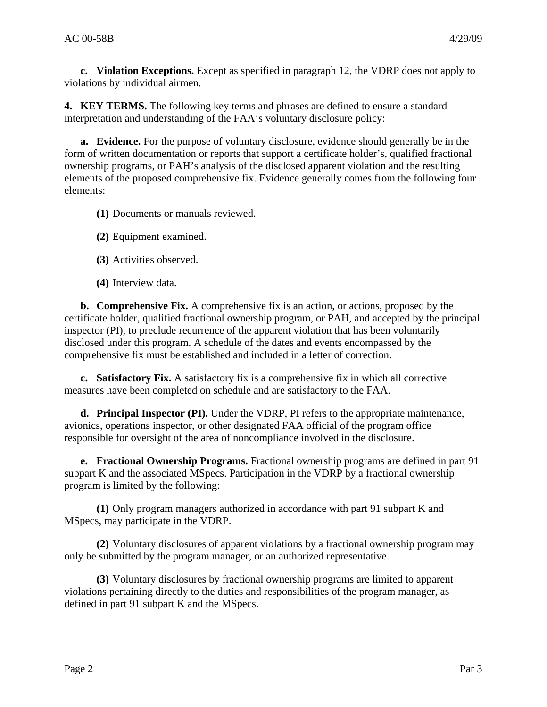**c. Violation Exceptions.** Except as specified in paragraph 12, the VDRP does not apply to violations by individual airmen.

**4. KEY TERMS.** The following key terms and phrases are defined to ensure a standard interpretation and understanding of the FAA's voluntary disclosure policy:

**a. Evidence.** For the purpose of voluntary disclosure, evidence should generally be in the form of written documentation or reports that support a certificate holder's, qualified fractional ownership programs, or PAH's analysis of the disclosed apparent violation and the resulting elements of the proposed comprehensive fix. Evidence generally comes from the following four elements:

- **(1)** Documents or manuals reviewed.
- **(2)** Equipment examined.
- **(3)** Activities observed.
- **(4)** Interview data.

**b. Comprehensive Fix.** A comprehensive fix is an action, or actions, proposed by the certificate holder, qualified fractional ownership program, or PAH, and accepted by the principal inspector (PI), to preclude recurrence of the apparent violation that has been voluntarily disclosed under this program. A schedule of the dates and events encompassed by the comprehensive fix must be established and included in a letter of correction.

**c. Satisfactory Fix.** A satisfactory fix is a comprehensive fix in which all corrective measures have been completed on schedule and are satisfactory to the FAA.

**d. Principal Inspector (PI).** Under the VDRP, PI refers to the appropriate maintenance, avionics, operations inspector, or other designated FAA official of the program office responsible for oversight of the area of noncompliance involved in the disclosure.

**e. Fractional Ownership Programs.** Fractional ownership programs are defined in part 91 subpart K and the associated MSpecs. Participation in the VDRP by a fractional ownership program is limited by the following:

**(1)** Only program managers authorized in accordance with part 91 subpart K and MSpecs, may participate in the VDRP.

**(2)** Voluntary disclosures of apparent violations by a fractional ownership program may only be submitted by the program manager, or an authorized representative.

**(3)** Voluntary disclosures by fractional ownership programs are limited to apparent violations pertaining directly to the duties and responsibilities of the program manager, as defined in part 91 subpart K and the MSpecs.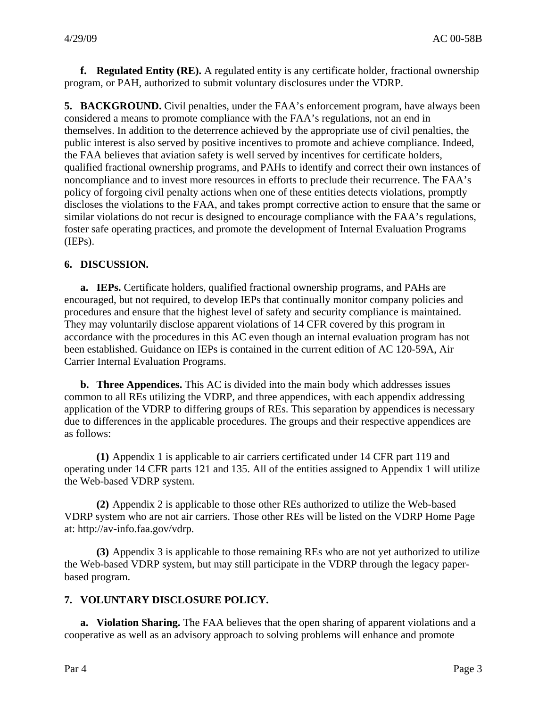**f. Regulated Entity (RE).** A regulated entity is any certificate holder, fractional ownership program, or PAH, authorized to submit voluntary disclosures under the VDRP.

**5. BACKGROUND.** Civil penalties, under the FAA's enforcement program, have always been considered a means to promote compliance with the FAA's regulations, not an end in themselves. In addition to the deterrence achieved by the appropriate use of civil penalties, the public interest is also served by positive incentives to promote and achieve compliance. Indeed, the FAA believes that aviation safety is well served by incentives for certificate holders, qualified fractional ownership programs, and PAHs to identify and correct their own instances of noncompliance and to invest more resources in efforts to preclude their recurrence. The FAA's policy of forgoing civil penalty actions when one of these entities detects violations, promptly discloses the violations to the FAA, and takes prompt corrective action to ensure that the same or similar violations do not recur is designed to encourage compliance with the FAA's regulations, foster safe operating practices, and promote the development of Internal Evaluation Programs (IEPs).

## **6. DISCUSSION.**

**a. IEPs.** Certificate holders, qualified fractional ownership programs, and PAHs are encouraged, but not required, to develop IEPs that continually monitor company policies and procedures and ensure that the highest level of safety and security compliance is maintained. They may voluntarily disclose apparent violations of 14 CFR covered by this program in accordance with the procedures in this AC even though an internal evaluation program has not been established. Guidance on IEPs is contained in the current edition of AC 120-59A, Air Carrier Internal Evaluation Programs.

**b. Three Appendices.** This AC is divided into the main body which addresses issues common to all REs utilizing the VDRP, and three appendices, with each appendix addressing application of the VDRP to differing groups of REs. This separation by appendices is necessary due to differences in the applicable procedures. The groups and their respective appendices are as follows:

**(1)** Appendix 1 is applicable to air carriers certificated under 14 CFR part 119 and operating under 14 CFR parts 121 and 135. All of the entities assigned to Appendix 1 will utilize the Web-based VDRP system.

**(2)** Appendix 2 is applicable to those other REs authorized to utilize the Web-based VDRP system who are not air carriers. Those other REs will be listed on the VDRP Home Page at: http://av-info.faa.gov/vdrp.

**(3)** Appendix 3 is applicable to those remaining REs who are not yet authorized to utilize the Web-based VDRP system, but may still participate in the VDRP through the legacy paperbased program.

# **7. VOLUNTARY DISCLOSURE POLICY.**

**a. Violation Sharing.** The FAA believes that the open sharing of apparent violations and a cooperative as well as an advisory approach to solving problems will enhance and promote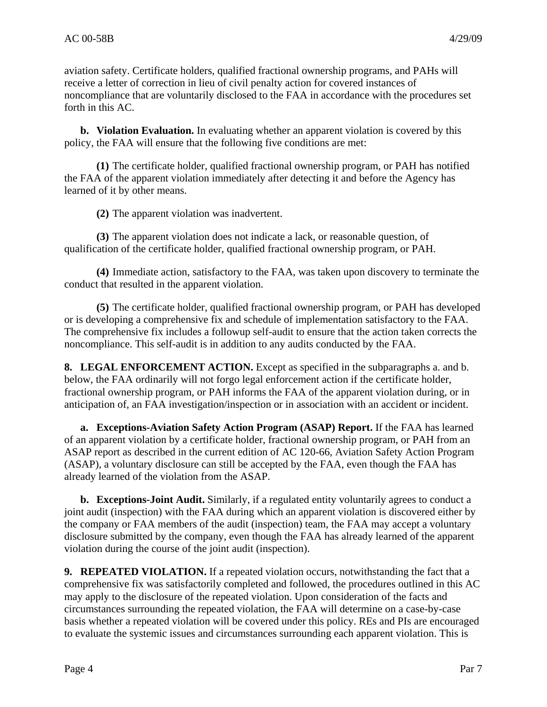aviation safety. Certificate holders, qualified fractional ownership programs, and PAHs will receive a letter of correction in lieu of civil penalty action for covered instances of noncompliance that are voluntarily disclosed to the FAA in accordance with the procedures set forth in this AC.

**b. Violation Evaluation.** In evaluating whether an apparent violation is covered by this policy, the FAA will ensure that the following five conditions are met:

**(1)** The certificate holder, qualified fractional ownership program, or PAH has notified the FAA of the apparent violation immediately after detecting it and before the Agency has learned of it by other means.

**(2)** The apparent violation was inadvertent.

**(3)** The apparent violation does not indicate a lack, or reasonable question, of qualification of the certificate holder, qualified fractional ownership program, or PAH.

**(4)** Immediate action, satisfactory to the FAA, was taken upon discovery to terminate the conduct that resulted in the apparent violation.

**(5)** The certificate holder, qualified fractional ownership program, or PAH has developed or is developing a comprehensive fix and schedule of implementation satisfactory to the FAA. The comprehensive fix includes a followup self-audit to ensure that the action taken corrects the noncompliance. This self-audit is in addition to any audits conducted by the FAA.

**8. LEGAL ENFORCEMENT ACTION.** Except as specified in the subparagraphs a. and b. below, the FAA ordinarily will not forgo legal enforcement action if the certificate holder, fractional ownership program, or PAH informs the FAA of the apparent violation during, or in anticipation of, an FAA investigation/inspection or in association with an accident or incident.

**a. Exceptions-Aviation Safety Action Program (ASAP) Report.** If the FAA has learned of an apparent violation by a certificate holder, fractional ownership program, or PAH from an ASAP report as described in the current edition of AC 120-66, Aviation Safety Action Program (ASAP), a voluntary disclosure can still be accepted by the FAA, even though the FAA has already learned of the violation from the ASAP.

**b. Exceptions-Joint Audit.** Similarly, if a regulated entity voluntarily agrees to conduct a joint audit (inspection) with the FAA during which an apparent violation is discovered either by the company or FAA members of the audit (inspection) team, the FAA may accept a voluntary disclosure submitted by the company, even though the FAA has already learned of the apparent violation during the course of the joint audit (inspection).

**9. REPEATED VIOLATION.** If a repeated violation occurs, notwithstanding the fact that a comprehensive fix was satisfactorily completed and followed, the procedures outlined in this AC may apply to the disclosure of the repeated violation. Upon consideration of the facts and circumstances surrounding the repeated violation, the FAA will determine on a case-by-case basis whether a repeated violation will be covered under this policy. REs and PIs are encouraged to evaluate the systemic issues and circumstances surrounding each apparent violation. This is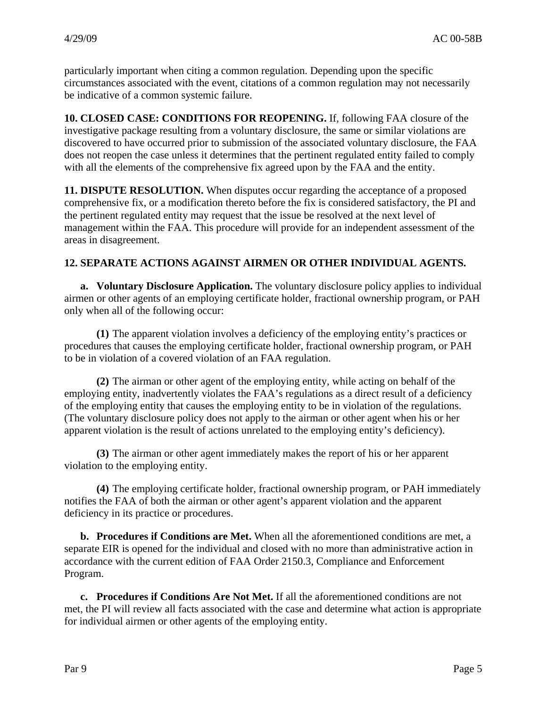particularly important when citing a common regulation. Depending upon the specific circumstances associated with the event, citations of a common regulation may not necessarily be indicative of a common systemic failure.

**10. CLOSED CASE: CONDITIONS FOR REOPENING.** If, following FAA closure of the investigative package resulting from a voluntary disclosure, the same or similar violations are discovered to have occurred prior to submission of the associated voluntary disclosure, the FAA does not reopen the case unless it determines that the pertinent regulated entity failed to comply with all the elements of the comprehensive fix agreed upon by the FAA and the entity.

**11. DISPUTE RESOLUTION.** When disputes occur regarding the acceptance of a proposed comprehensive fix, or a modification thereto before the fix is considered satisfactory, the PI and the pertinent regulated entity may request that the issue be resolved at the next level of management within the FAA. This procedure will provide for an independent assessment of the areas in disagreement.

# **12. SEPARATE ACTIONS AGAINST AIRMEN OR OTHER INDIVIDUAL AGENTS.**

**a. Voluntary Disclosure Application.** The voluntary disclosure policy applies to individual airmen or other agents of an employing certificate holder, fractional ownership program, or PAH only when all of the following occur:

**(1)** The apparent violation involves a deficiency of the employing entity's practices or procedures that causes the employing certificate holder, fractional ownership program, or PAH to be in violation of a covered violation of an FAA regulation.

**(2)** The airman or other agent of the employing entity, while acting on behalf of the employing entity, inadvertently violates the FAA's regulations as a direct result of a deficiency of the employing entity that causes the employing entity to be in violation of the regulations. (The voluntary disclosure policy does not apply to the airman or other agent when his or her apparent violation is the result of actions unrelated to the employing entity's deficiency).

**(3)** The airman or other agent immediately makes the report of his or her apparent violation to the employing entity.

**(4)** The employing certificate holder, fractional ownership program, or PAH immediately notifies the FAA of both the airman or other agent's apparent violation and the apparent deficiency in its practice or procedures.

**b. Procedures if Conditions are Met.** When all the aforementioned conditions are met, a separate EIR is opened for the individual and closed with no more than administrative action in accordance with the current edition of FAA Order 2150.3, Compliance and Enforcement Program.

**c. Procedures if Conditions Are Not Met.** If all the aforementioned conditions are not met, the PI will review all facts associated with the case and determine what action is appropriate for individual airmen or other agents of the employing entity.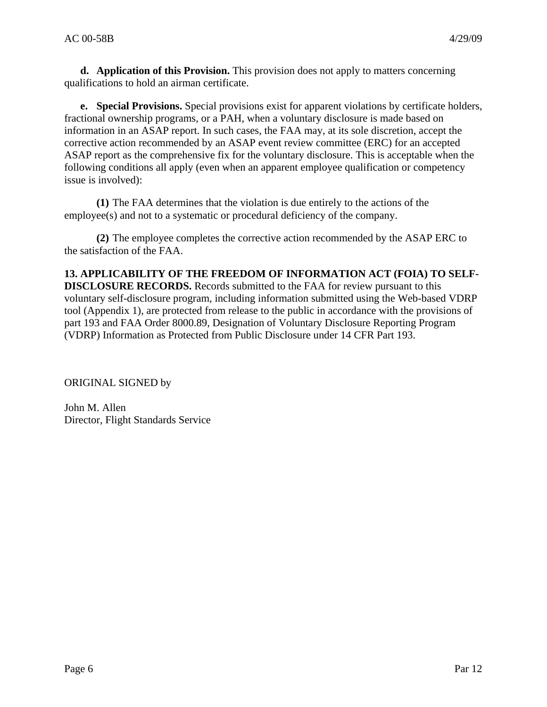**d. Application of this Provision.** This provision does not apply to matters concerning qualifications to hold an airman certificate.

**e. Special Provisions.** Special provisions exist for apparent violations by certificate holders, fractional ownership programs, or a PAH, when a voluntary disclosure is made based on information in an ASAP report. In such cases, the FAA may, at its sole discretion, accept the corrective action recommended by an ASAP event review committee (ERC) for an accepted ASAP report as the comprehensive fix for the voluntary disclosure. This is acceptable when the following conditions all apply (even when an apparent employee qualification or competency issue is involved):

**(1)** The FAA determines that the violation is due entirely to the actions of the employee(s) and not to a systematic or procedural deficiency of the company.

**(2)** The employee completes the corrective action recommended by the ASAP ERC to the satisfaction of the FAA.

**13. APPLICABILITY OF THE FREEDOM OF INFORMATION ACT (FOIA) TO SELF-DISCLOSURE RECORDS.** Records submitted to the FAA for review pursuant to this voluntary self-disclosure program, including information submitted using the Web-based VDRP tool (Appendix 1), are protected from release to the public in accordance with the provisions of part 193 and FAA Order 8000.89, Designation of Voluntary Disclosure Reporting Program (VDRP) Information as Protected from Public Disclosure under 14 CFR Part 193.

ORIGINAL SIGNED by

John M. Allen Director, Flight Standards Service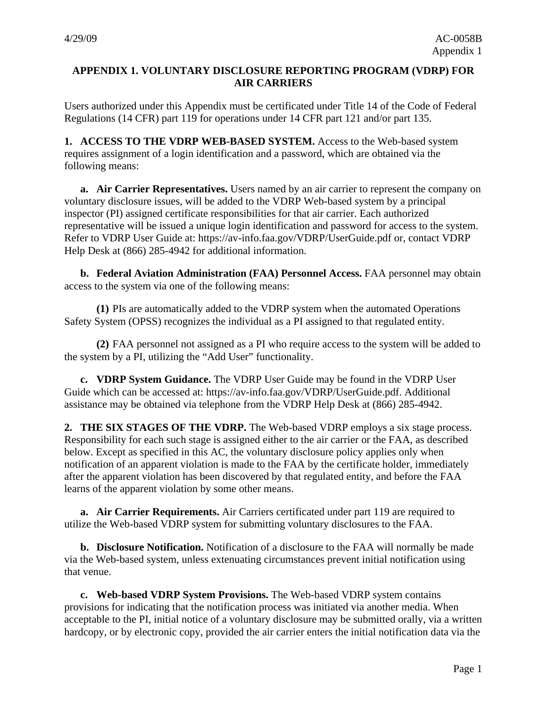# **APPENDIX 1. VOLUNTARY DISCLOSURE REPORTING PROGRAM (VDRP) FOR AIR CARRIERS**

Users authorized under this Appendix must be certificated under Title 14 of the Code of Federal Regulations (14 CFR) part 119 for operations under 14 CFR part 121 and/or part 135.

**1. ACCESS TO THE VDRP WEB-BASED SYSTEM.** Access to the Web-based system requires assignment of a login identification and a password, which are obtained via the following means:

**a. Air Carrier Representatives.** Users named by an air carrier to represent the company on voluntary disclosure issues, will be added to the VDRP Web-based system by a principal inspector (PI) assigned certificate responsibilities for that air carrier. Each authorized representative will be issued a unique login identification and password for access to the system. Refer to VDRP User Guide at: https://av-info.faa.gov/VDRP/UserGuide.pdf or, contact VDRP Help Desk at (866) 285-4942 for additional information.

**b. Federal Aviation Administration (FAA) Personnel Access.** FAA personnel may obtain access to the system via one of the following means:

**(1)** PIs are automatically added to the VDRP system when the automated Operations Safety System (OPSS) recognizes the individual as a PI assigned to that regulated entity.

**(2)** FAA personnel not assigned as a PI who require access to the system will be added to the system by a PI, utilizing the "Add User" functionality.

**c. VDRP System Guidance.** The VDRP User Guide may be found in the VDRP User Guide which can be accessed at: https://av-info.faa.gov/VDRP/UserGuide.pdf. Additional assistance may be obtained via telephone from the VDRP Help Desk at (866) 285-4942.

**2. THE SIX STAGES OF THE VDRP.** The Web-based VDRP employs a six stage process. Responsibility for each such stage is assigned either to the air carrier or the FAA, as described below. Except as specified in this AC, the voluntary disclosure policy applies only when notification of an apparent violation is made to the FAA by the certificate holder, immediately after the apparent violation has been discovered by that regulated entity, and before the FAA learns of the apparent violation by some other means.

**a. Air Carrier Requirements.** Air Carriers certificated under part 119 are required to utilize the Web-based VDRP system for submitting voluntary disclosures to the FAA.

**b. Disclosure Notification.** Notification of a disclosure to the FAA will normally be made via the Web-based system, unless extenuating circumstances prevent initial notification using that venue.

**c. Web-based VDRP System Provisions.** The Web-based VDRP system contains provisions for indicating that the notification process was initiated via another media. When acceptable to the PI, initial notice of a voluntary disclosure may be submitted orally, via a written hardcopy, or by electronic copy, provided the air carrier enters the initial notification data via the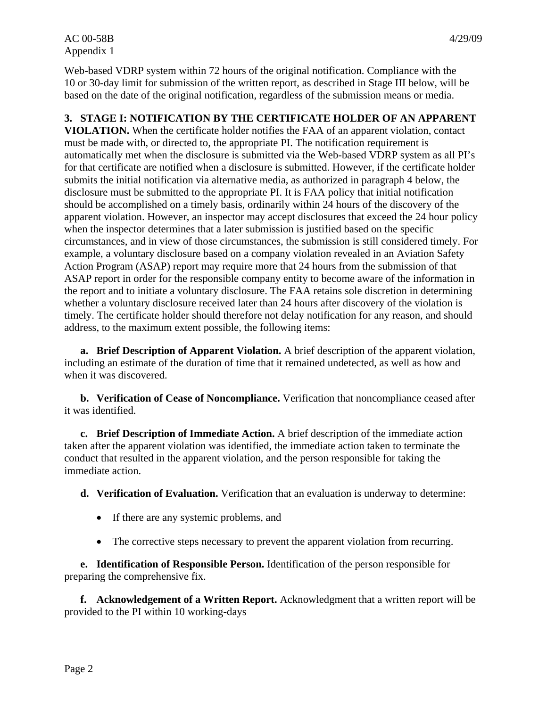Web-based VDRP system within 72 hours of the original notification. Compliance with the 10 or 30-day limit for submission of the written report, as described in Stage III below, will be based on the date of the original notification, regardless of the submission means or media.

**3. STAGE I: NOTIFICATION BY THE CERTIFICATE HOLDER OF AN APPARENT VIOLATION.** When the certificate holder notifies the FAA of an apparent violation, contact must be made with, or directed to, the appropriate PI. The notification requirement is automatically met when the disclosure is submitted via the Web-based VDRP system as all PI's for that certificate are notified when a disclosure is submitted. However, if the certificate holder submits the initial notification via alternative media, as authorized in paragraph 4 below, the disclosure must be submitted to the appropriate PI. It is FAA policy that initial notification should be accomplished on a timely basis, ordinarily within 24 hours of the discovery of the apparent violation. However, an inspector may accept disclosures that exceed the 24 hour policy when the inspector determines that a later submission is justified based on the specific circumstances, and in view of those circumstances, the submission is still considered timely. For example, a voluntary disclosure based on a company violation revealed in an Aviation Safety Action Program (ASAP) report may require more that 24 hours from the submission of that ASAP report in order for the responsible company entity to become aware of the information in the report and to initiate a voluntary disclosure. The FAA retains sole discretion in determining whether a voluntary disclosure received later than 24 hours after discovery of the violation is timely. The certificate holder should therefore not delay notification for any reason, and should address, to the maximum extent possible, the following items:

**a. Brief Description of Apparent Violation.** A brief description of the apparent violation, including an estimate of the duration of time that it remained undetected, as well as how and when it was discovered.

**b. Verification of Cease of Noncompliance.** Verification that noncompliance ceased after it was identified.

**c. Brief Description of Immediate Action.** A brief description of the immediate action taken after the apparent violation was identified, the immediate action taken to terminate the conduct that resulted in the apparent violation, and the person responsible for taking the immediate action.

**d. Verification of Evaluation.** Verification that an evaluation is underway to determine:

- If there are any systemic problems, and
- The corrective steps necessary to prevent the apparent violation from recurring.

**e. Identification of Responsible Person.** Identification of the person responsible for preparing the comprehensive fix.

**f. Acknowledgement of a Written Report.** Acknowledgment that a written report will be provided to the PI within 10 working-days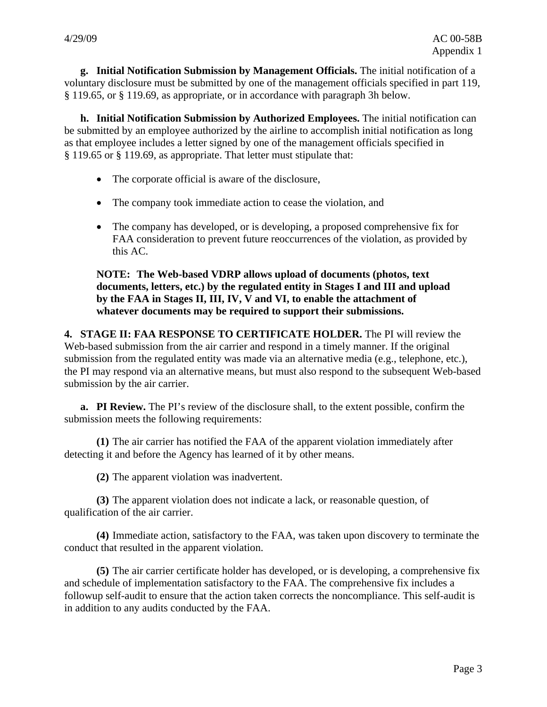**g. Initial Notification Submission by Management Officials.** The initial notification of a voluntary disclosure must be submitted by one of the management officials specified in part 119, § 119.65, or § 119.69, as appropriate, or in accordance with paragraph 3h below.

**h. Initial Notification Submission by Authorized Employees.** The initial notification can be submitted by an employee authorized by the airline to accomplish initial notification as long as that employee includes a letter signed by one of the management officials specified in § 119.65 or § 119.69, as appropriate. That letter must stipulate that:

- The corporate official is aware of the disclosure,
- The company took immediate action to cease the violation, and
- The company has developed, or is developing, a proposed comprehensive fix for FAA consideration to prevent future reoccurrences of the violation, as provided by this AC.

**NOTE: The Web-based VDRP allows upload of documents (photos, text documents, letters, etc.) by the regulated entity in Stages I and III and upload by the FAA in Stages II, III, IV, V and VI, to enable the attachment of whatever documents may be required to support their submissions.**

**4. STAGE II: FAA RESPONSE TO CERTIFICATE HOLDER.** The PI will review the Web-based submission from the air carrier and respond in a timely manner. If the original submission from the regulated entity was made via an alternative media (e.g., telephone, etc.), the PI may respond via an alternative means, but must also respond to the subsequent Web-based submission by the air carrier.

**a. PI Review.** The PI's review of the disclosure shall, to the extent possible, confirm the submission meets the following requirements:

**(1)** The air carrier has notified the FAA of the apparent violation immediately after detecting it and before the Agency has learned of it by other means.

**(2)** The apparent violation was inadvertent.

**(3)** The apparent violation does not indicate a lack, or reasonable question, of qualification of the air carrier.

**(4)** Immediate action, satisfactory to the FAA, was taken upon discovery to terminate the conduct that resulted in the apparent violation.

**(5)** The air carrier certificate holder has developed, or is developing, a comprehensive fix and schedule of implementation satisfactory to the FAA. The comprehensive fix includes a followup self-audit to ensure that the action taken corrects the noncompliance. This self-audit is in addition to any audits conducted by the FAA.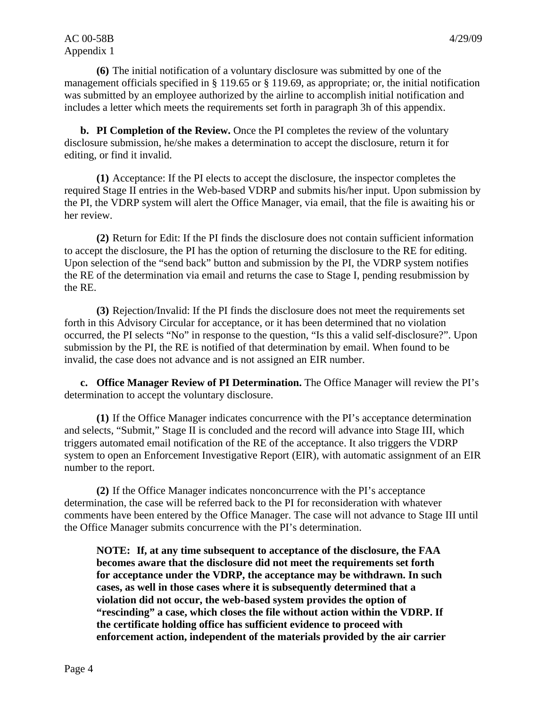**(6)** The initial notification of a voluntary disclosure was submitted by one of the management officials specified in § 119.65 or § 119.69, as appropriate; or, the initial notification was submitted by an employee authorized by the airline to accomplish initial notification and includes a letter which meets the requirements set forth in paragraph 3h of this appendix.

**b. PI Completion of the Review.** Once the PI completes the review of the voluntary disclosure submission, he/she makes a determination to accept the disclosure, return it for editing, or find it invalid.

**(1)** Acceptance: If the PI elects to accept the disclosure, the inspector completes the required Stage II entries in the Web-based VDRP and submits his/her input. Upon submission by the PI, the VDRP system will alert the Office Manager, via email, that the file is awaiting his or her review.

**(2)** Return for Edit: If the PI finds the disclosure does not contain sufficient information to accept the disclosure, the PI has the option of returning the disclosure to the RE for editing. Upon selection of the "send back" button and submission by the PI, the VDRP system notifies the RE of the determination via email and returns the case to Stage I, pending resubmission by the RE.

**(3)** Rejection/Invalid: If the PI finds the disclosure does not meet the requirements set forth in this Advisory Circular for acceptance, or it has been determined that no violation occurred, the PI selects "No" in response to the question, "Is this a valid self-disclosure?". Upon submission by the PI, the RE is notified of that determination by email. When found to be invalid, the case does not advance and is not assigned an EIR number.

**c. Office Manager Review of PI Determination.** The Office Manager will review the PI's determination to accept the voluntary disclosure.

**(1)** If the Office Manager indicates concurrence with the PI's acceptance determination and selects, "Submit," Stage II is concluded and the record will advance into Stage III, which triggers automated email notification of the RE of the acceptance. It also triggers the VDRP system to open an Enforcement Investigative Report (EIR), with automatic assignment of an EIR number to the report.

**(2)** If the Office Manager indicates nonconcurrence with the PI's acceptance determination, the case will be referred back to the PI for reconsideration with whatever comments have been entered by the Office Manager. The case will not advance to Stage III until the Office Manager submits concurrence with the PI's determination.

**NOTE: If, at any time subsequent to acceptance of the disclosure, the FAA becomes aware that the disclosure did not meet the requirements set forth for acceptance under the VDRP, the acceptance may be withdrawn. In such cases, as well in those cases where it is subsequently determined that a violation did not occur, the web-based system provides the option of "rescinding" a case, which closes the file without action within the VDRP. If the certificate holding office has sufficient evidence to proceed with enforcement action, independent of the materials provided by the air carrier**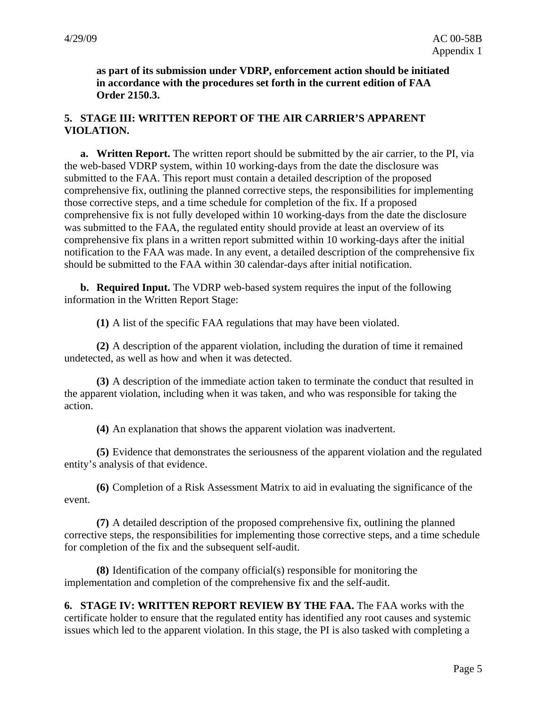**as part of its submission under VDRP, enforcement action should be initiated in accordance with the procedures set forth in the current edition of FAA Order 2150.3.** 

#### **5. STAGE III: WRITTEN REPORT OF THE AIR CARRIER'S APPARENT VIOLATION.**

**a. Written Report.** The written report should be submitted by the air carrier, to the PI, via the web-based VDRP system, within 10 working-days from the date the disclosure was submitted to the FAA. This report must contain a detailed description of the proposed comprehensive fix, outlining the planned corrective steps, the responsibilities for implementing those corrective steps, and a time schedule for completion of the fix. If a proposed comprehensive fix is not fully developed within 10 working-days from the date the disclosure was submitted to the FAA, the regulated entity should provide at least an overview of its comprehensive fix plans in a written report submitted within 10 working-days after the initial notification to the FAA was made. In any event, a detailed description of the comprehensive fix should be submitted to the FAA within 30 calendar-days after initial notification.

**b. Required Input.** The VDRP web-based system requires the input of the following information in the Written Report Stage:

**(1)** A list of the specific FAA regulations that may have been violated.

**(2)** A description of the apparent violation, including the duration of time it remained undetected, as well as how and when it was detected.

**(3)** A description of the immediate action taken to terminate the conduct that resulted in the apparent violation, including when it was taken, and who was responsible for taking the action.

**(4)** An explanation that shows the apparent violation was inadvertent.

**(5)** Evidence that demonstrates the seriousness of the apparent violation and the regulated entity's analysis of that evidence.

**(6)** Completion of a Risk Assessment Matrix to aid in evaluating the significance of the event.

**(7)** A detailed description of the proposed comprehensive fix, outlining the planned corrective steps, the responsibilities for implementing those corrective steps, and a time schedule for completion of the fix and the subsequent self-audit.

**(8)** Identification of the company official(s) responsible for monitoring the implementation and completion of the comprehensive fix and the self-audit.

**6. STAGE IV: WRITTEN REPORT REVIEW BY THE FAA.** The FAA works with the certificate holder to ensure that the regulated entity has identified any root causes and systemic issues which led to the apparent violation. In this stage, the PI is also tasked with completing a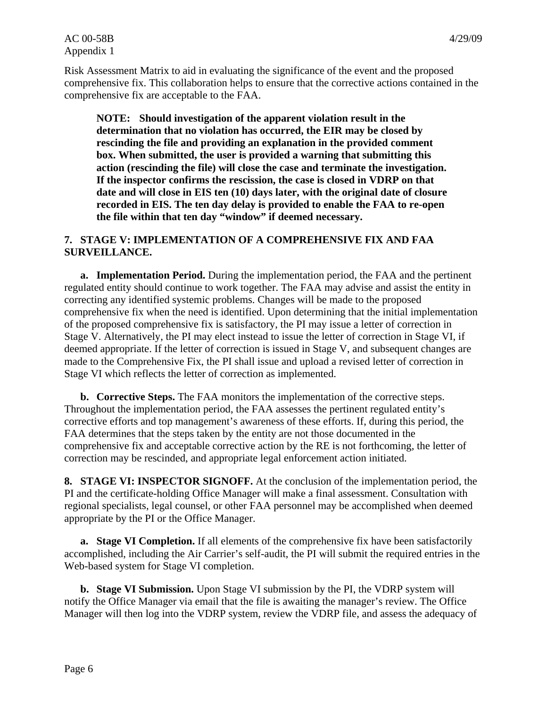Risk Assessment Matrix to aid in evaluating the significance of the event and the proposed comprehensive fix. This collaboration helps to ensure that the corrective actions contained in the comprehensive fix are acceptable to the FAA.

**NOTE: Should investigation of the apparent violation result in the determination that no violation has occurred, the EIR may be closed by rescinding the file and providing an explanation in the provided comment box. When submitted, the user is provided a warning that submitting this action (rescinding the file) will close the case and terminate the investigation. If the inspector confirms the rescission, the case is closed in VDRP on that date and will close in EIS ten (10) days later, with the original date of closure recorded in EIS. The ten day delay is provided to enable the FAA to re-open the file within that ten day "window" if deemed necessary.** 

# **7. STAGE V: IMPLEMENTATION OF A COMPREHENSIVE FIX AND FAA SURVEILLANCE.**

**a. Implementation Period.** During the implementation period, the FAA and the pertinent regulated entity should continue to work together. The FAA may advise and assist the entity in correcting any identified systemic problems. Changes will be made to the proposed comprehensive fix when the need is identified. Upon determining that the initial implementation of the proposed comprehensive fix is satisfactory, the PI may issue a letter of correction in Stage V. Alternatively, the PI may elect instead to issue the letter of correction in Stage VI, if deemed appropriate. If the letter of correction is issued in Stage V, and subsequent changes are made to the Comprehensive Fix, the PI shall issue and upload a revised letter of correction in Stage VI which reflects the letter of correction as implemented.

**b. Corrective Steps.** The FAA monitors the implementation of the corrective steps. Throughout the implementation period, the FAA assesses the pertinent regulated entity's corrective efforts and top management's awareness of these efforts. If, during this period, the FAA determines that the steps taken by the entity are not those documented in the comprehensive fix and acceptable corrective action by the RE is not forthcoming, the letter of correction may be rescinded, and appropriate legal enforcement action initiated.

**8. STAGE VI: INSPECTOR SIGNOFF.** At the conclusion of the implementation period, the PI and the certificate-holding Office Manager will make a final assessment. Consultation with regional specialists, legal counsel, or other FAA personnel may be accomplished when deemed appropriate by the PI or the Office Manager.

**a. Stage VI Completion.** If all elements of the comprehensive fix have been satisfactorily accomplished, including the Air Carrier's self-audit, the PI will submit the required entries in the Web-based system for Stage VI completion.

**b. Stage VI Submission.** Upon Stage VI submission by the PI, the VDRP system will notify the Office Manager via email that the file is awaiting the manager's review. The Office Manager will then log into the VDRP system, review the VDRP file, and assess the adequacy of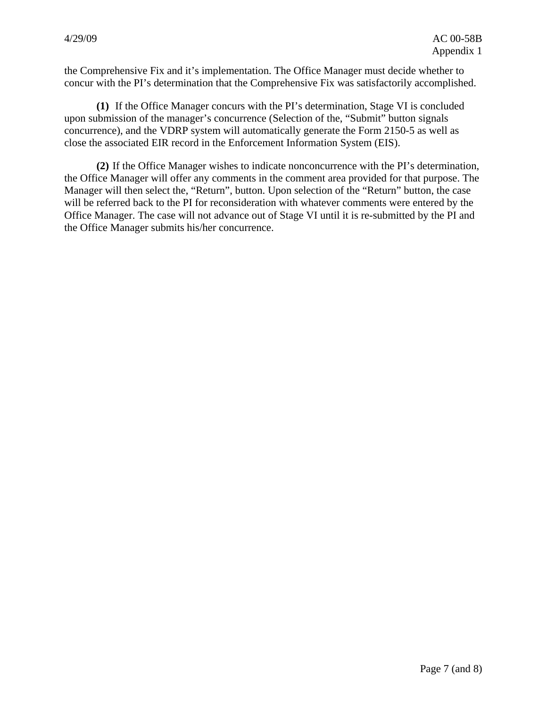the Comprehensive Fix and it's implementation. The Office Manager must decide whether to concur with the PI's determination that the Comprehensive Fix was satisfactorily accomplished.

**(1)** If the Office Manager concurs with the PI's determination, Stage VI is concluded upon submission of the manager's concurrence (Selection of the, "Submit" button signals concurrence), and the VDRP system will automatically generate the Form 2150-5 as well as close the associated EIR record in the Enforcement Information System (EIS).

**(2)** If the Office Manager wishes to indicate nonconcurrence with the PI's determination, the Office Manager will offer any comments in the comment area provided for that purpose. The Manager will then select the, "Return", button. Upon selection of the "Return" button, the case will be referred back to the PI for reconsideration with whatever comments were entered by the Office Manager. The case will not advance out of Stage VI until it is re-submitted by the PI and the Office Manager submits his/her concurrence.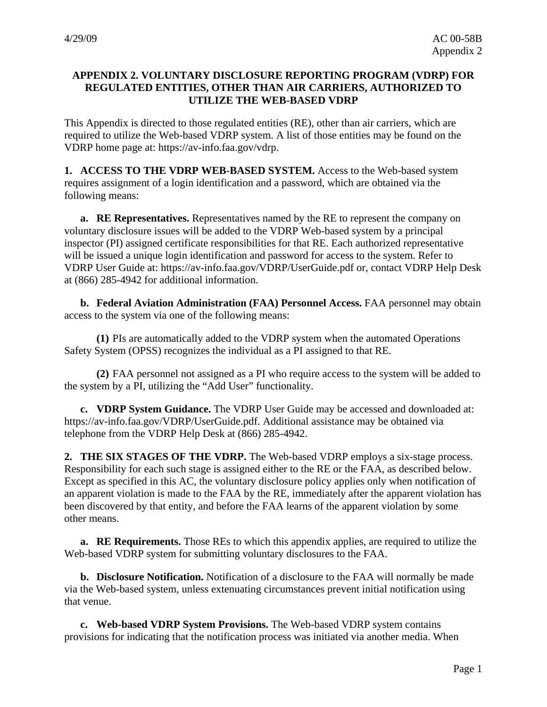## **APPENDIX 2. VOLUNTARY DISCLOSURE REPORTING PROGRAM (VDRP) FOR REGULATED ENTITIES, OTHER THAN AIR CARRIERS, AUTHORIZED TO UTILIZE THE WEB-BASED VDRP**

This Appendix is directed to those regulated entities (RE), other than air carriers, which are required to utilize the Web-based VDRP system. A list of those entities may be found on the VDRP home page at: https://av-info.faa.gov/vdrp.

**1. ACCESS TO THE VDRP WEB-BASED SYSTEM.** Access to the Web-based system requires assignment of a login identification and a password, which are obtained via the following means:

**a. RE Representatives.** Representatives named by the RE to represent the company on voluntary disclosure issues will be added to the VDRP Web-based system by a principal inspector (PI) assigned certificate responsibilities for that RE. Each authorized representative will be issued a unique login identification and password for access to the system. Refer to VDRP User Guide at: https://av-info.faa.gov/VDRP/UserGuide.pdf or, contact VDRP Help Desk at (866) 285-4942 for additional information.

**b. Federal Aviation Administration (FAA) Personnel Access.** FAA personnel may obtain access to the system via one of the following means:

**(1)** PIs are automatically added to the VDRP system when the automated Operations Safety System (OPSS) recognizes the individual as a PI assigned to that RE.

**(2)** FAA personnel not assigned as a PI who require access to the system will be added to the system by a PI, utilizing the "Add User" functionality.

**c. VDRP System Guidance.** The VDRP User Guide may be accessed and downloaded at: https://av-info.faa.gov/VDRP/UserGuide.pdf. Additional assistance may be obtained via telephone from the VDRP Help Desk at (866) 285-4942.

**2. THE SIX STAGES OF THE VDRP.** The Web-based VDRP employs a six-stage process. Responsibility for each such stage is assigned either to the RE or the FAA, as described below. Except as specified in this AC, the voluntary disclosure policy applies only when notification of an apparent violation is made to the FAA by the RE, immediately after the apparent violation has been discovered by that entity, and before the FAA learns of the apparent violation by some other means.

**a. RE Requirements.** Those REs to which this appendix applies, are required to utilize the Web-based VDRP system for submitting voluntary disclosures to the FAA.

**b. Disclosure Notification.** Notification of a disclosure to the FAA will normally be made via the Web-based system, unless extenuating circumstances prevent initial notification using that venue.

**c. Web-based VDRP System Provisions.** The Web-based VDRP system contains provisions for indicating that the notification process was initiated via another media. When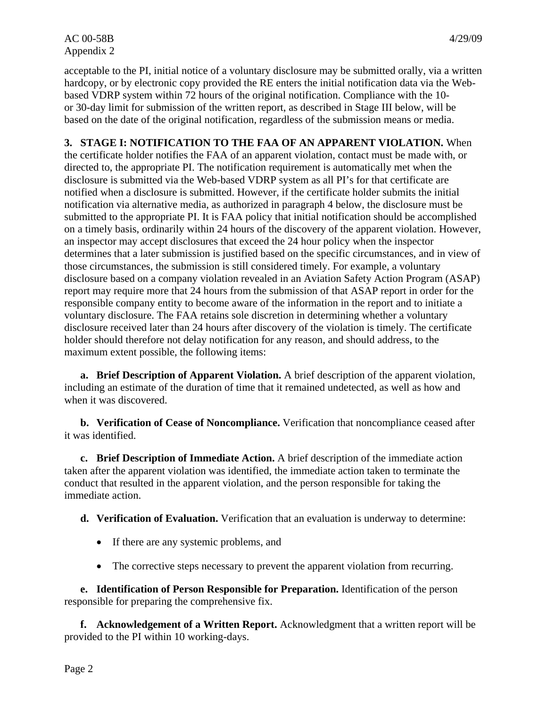acceptable to the PI, initial notice of a voluntary disclosure may be submitted orally, via a written hardcopy, or by electronic copy provided the RE enters the initial notification data via the Webbased VDRP system within 72 hours of the original notification. Compliance with the 10 or 30-day limit for submission of the written report, as described in Stage III below, will be based on the date of the original notification, regardless of the submission means or media.

**3. STAGE I: NOTIFICATION TO THE FAA OF AN APPARENT VIOLATION.** When the certificate holder notifies the FAA of an apparent violation, contact must be made with, or directed to, the appropriate PI. The notification requirement is automatically met when the disclosure is submitted via the Web-based VDRP system as all PI's for that certificate are notified when a disclosure is submitted. However, if the certificate holder submits the initial notification via alternative media, as authorized in paragraph 4 below, the disclosure must be submitted to the appropriate PI. It is FAA policy that initial notification should be accomplished on a timely basis, ordinarily within 24 hours of the discovery of the apparent violation. However, an inspector may accept disclosures that exceed the 24 hour policy when the inspector determines that a later submission is justified based on the specific circumstances, and in view of those circumstances, the submission is still considered timely. For example, a voluntary disclosure based on a company violation revealed in an Aviation Safety Action Program (ASAP) report may require more that 24 hours from the submission of that ASAP report in order for the responsible company entity to become aware of the information in the report and to initiate a voluntary disclosure. The FAA retains sole discretion in determining whether a voluntary disclosure received later than 24 hours after discovery of the violation is timely. The certificate holder should therefore not delay notification for any reason, and should address, to the maximum extent possible, the following items:

**a. Brief Description of Apparent Violation.** A brief description of the apparent violation, including an estimate of the duration of time that it remained undetected, as well as how and when it was discovered.

**b. Verification of Cease of Noncompliance.** Verification that noncompliance ceased after it was identified.

**c. Brief Description of Immediate Action.** A brief description of the immediate action taken after the apparent violation was identified, the immediate action taken to terminate the conduct that resulted in the apparent violation, and the person responsible for taking the immediate action.

**d. Verification of Evaluation.** Verification that an evaluation is underway to determine:

- If there are any systemic problems, and
- The corrective steps necessary to prevent the apparent violation from recurring.

**e. Identification of Person Responsible for Preparation.** Identification of the person responsible for preparing the comprehensive fix.

**f. Acknowledgement of a Written Report.** Acknowledgment that a written report will be provided to the PI within 10 working-days.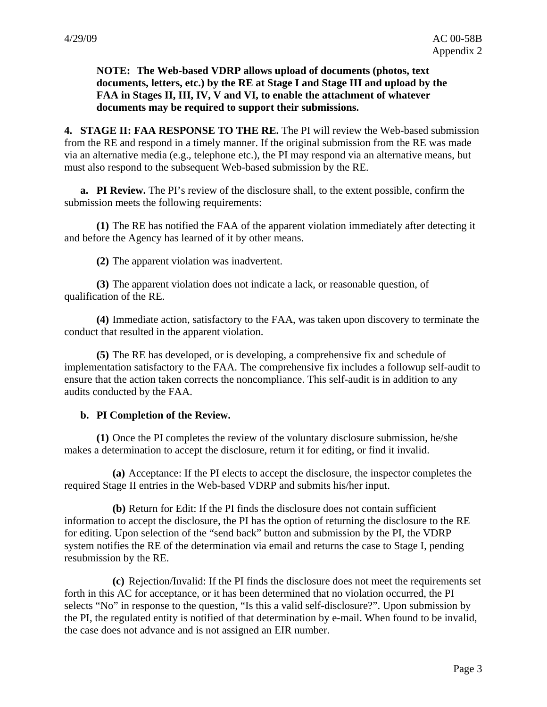**NOTE: The Web-based VDRP allows upload of documents (photos, text documents, letters, etc.) by the RE at Stage I and Stage III and upload by the FAA in Stages II, III, IV, V and VI, to enable the attachment of whatever documents may be required to support their submissions.** 

**4. STAGE II: FAA RESPONSE TO THE RE.** The PI will review the Web-based submission from the RE and respond in a timely manner. If the original submission from the RE was made via an alternative media (e.g., telephone etc.), the PI may respond via an alternative means, but must also respond to the subsequent Web-based submission by the RE.

**a. PI Review.** The PI's review of the disclosure shall, to the extent possible, confirm the submission meets the following requirements:

**(1)** The RE has notified the FAA of the apparent violation immediately after detecting it and before the Agency has learned of it by other means.

**(2)** The apparent violation was inadvertent.

**(3)** The apparent violation does not indicate a lack, or reasonable question, of qualification of the RE.

**(4)** Immediate action, satisfactory to the FAA, was taken upon discovery to terminate the conduct that resulted in the apparent violation.

**(5)** The RE has developed, or is developing, a comprehensive fix and schedule of implementation satisfactory to the FAA. The comprehensive fix includes a followup self-audit to ensure that the action taken corrects the noncompliance. This self-audit is in addition to any audits conducted by the FAA.

#### **b. PI Completion of the Review.**

**(1)** Once the PI completes the review of the voluntary disclosure submission, he/she makes a determination to accept the disclosure, return it for editing, or find it invalid.

**(a)** Acceptance: If the PI elects to accept the disclosure, the inspector completes the required Stage II entries in the Web-based VDRP and submits his/her input.

**(b)** Return for Edit: If the PI finds the disclosure does not contain sufficient information to accept the disclosure, the PI has the option of returning the disclosure to the RE for editing. Upon selection of the "send back" button and submission by the PI, the VDRP system notifies the RE of the determination via email and returns the case to Stage I, pending resubmission by the RE.

**(c)** Rejection/Invalid: If the PI finds the disclosure does not meet the requirements set forth in this AC for acceptance, or it has been determined that no violation occurred, the PI selects "No" in response to the question, "Is this a valid self-disclosure?". Upon submission by the PI, the regulated entity is notified of that determination by e-mail. When found to be invalid, the case does not advance and is not assigned an EIR number.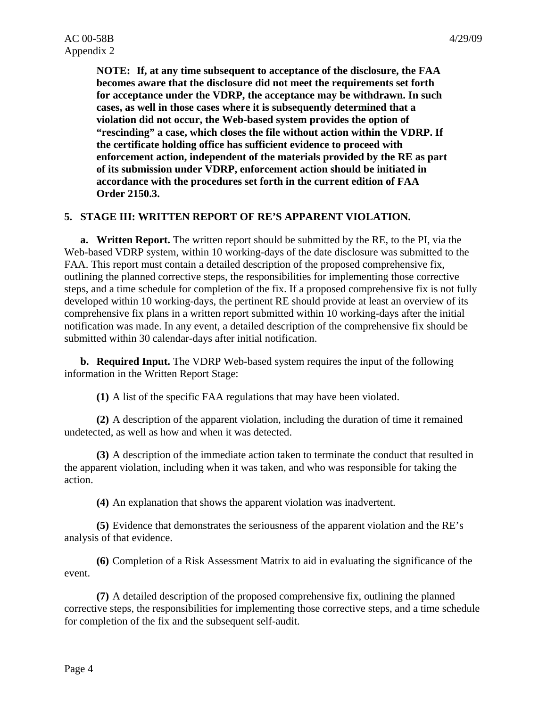**NOTE: If, at any time subsequent to acceptance of the disclosure, the FAA becomes aware that the disclosure did not meet the requirements set forth for acceptance under the VDRP, the acceptance may be withdrawn. In such cases, as well in those cases where it is subsequently determined that a violation did not occur, the Web-based system provides the option of "rescinding" a case, which closes the file without action within the VDRP. If the certificate holding office has sufficient evidence to proceed with enforcement action, independent of the materials provided by the RE as part of its submission under VDRP, enforcement action should be initiated in accordance with the procedures set forth in the current edition of FAA Order 2150.3.** 

## **5. STAGE III: WRITTEN REPORT OF RE'S APPARENT VIOLATION.**

**a. Written Report.** The written report should be submitted by the RE, to the PI, via the Web-based VDRP system, within 10 working-days of the date disclosure was submitted to the FAA. This report must contain a detailed description of the proposed comprehensive fix, outlining the planned corrective steps, the responsibilities for implementing those corrective steps, and a time schedule for completion of the fix. If a proposed comprehensive fix is not fully developed within 10 working-days, the pertinent RE should provide at least an overview of its comprehensive fix plans in a written report submitted within 10 working-days after the initial notification was made. In any event, a detailed description of the comprehensive fix should be submitted within 30 calendar-days after initial notification.

**b. Required Input.** The VDRP Web-based system requires the input of the following information in the Written Report Stage:

**(1)** A list of the specific FAA regulations that may have been violated.

**(2)** A description of the apparent violation, including the duration of time it remained undetected, as well as how and when it was detected.

**(3)** A description of the immediate action taken to terminate the conduct that resulted in the apparent violation, including when it was taken, and who was responsible for taking the action.

**(4)** An explanation that shows the apparent violation was inadvertent.

**(5)** Evidence that demonstrates the seriousness of the apparent violation and the RE's analysis of that evidence.

**(6)** Completion of a Risk Assessment Matrix to aid in evaluating the significance of the event.

**(7)** A detailed description of the proposed comprehensive fix, outlining the planned corrective steps, the responsibilities for implementing those corrective steps, and a time schedule for completion of the fix and the subsequent self-audit.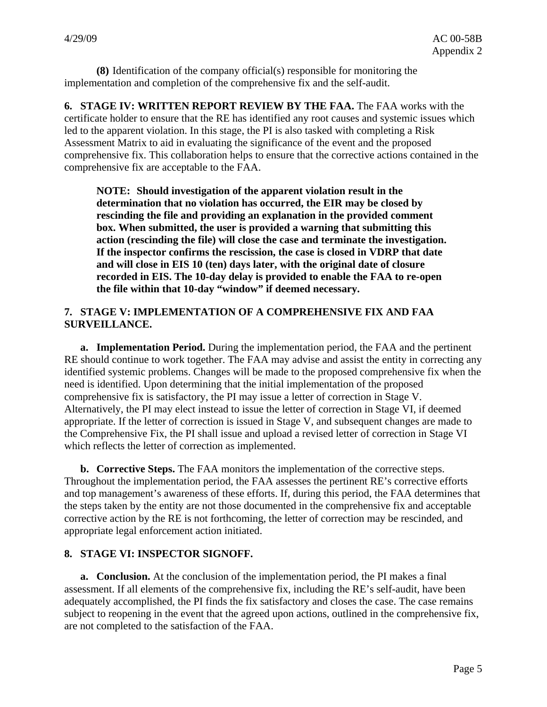**(8)** Identification of the company official(s) responsible for monitoring the implementation and completion of the comprehensive fix and the self-audit.

**6. STAGE IV: WRITTEN REPORT REVIEW BY THE FAA.** The FAA works with the certificate holder to ensure that the RE has identified any root causes and systemic issues which led to the apparent violation. In this stage, the PI is also tasked with completing a Risk Assessment Matrix to aid in evaluating the significance of the event and the proposed comprehensive fix. This collaboration helps to ensure that the corrective actions contained in the comprehensive fix are acceptable to the FAA.

**NOTE: Should investigation of the apparent violation result in the determination that no violation has occurred, the EIR may be closed by rescinding the file and providing an explanation in the provided comment box. When submitted, the user is provided a warning that submitting this action (rescinding the file) will close the case and terminate the investigation. If the inspector confirms the rescission, the case is closed in VDRP that date and will close in EIS 10 (ten) days later, with the original date of closure recorded in EIS. The 10-day delay is provided to enable the FAA to re-open the file within that 10-day "window" if deemed necessary.** 

## **7. STAGE V: IMPLEMENTATION OF A COMPREHENSIVE FIX AND FAA SURVEILLANCE.**

**a. Implementation Period.** During the implementation period, the FAA and the pertinent RE should continue to work together. The FAA may advise and assist the entity in correcting any identified systemic problems. Changes will be made to the proposed comprehensive fix when the need is identified. Upon determining that the initial implementation of the proposed comprehensive fix is satisfactory, the PI may issue a letter of correction in Stage V. Alternatively, the PI may elect instead to issue the letter of correction in Stage VI, if deemed appropriate. If the letter of correction is issued in Stage V, and subsequent changes are made to the Comprehensive Fix, the PI shall issue and upload a revised letter of correction in Stage VI which reflects the letter of correction as implemented.

**b. Corrective Steps.** The FAA monitors the implementation of the corrective steps. Throughout the implementation period, the FAA assesses the pertinent RE's corrective efforts and top management's awareness of these efforts. If, during this period, the FAA determines that the steps taken by the entity are not those documented in the comprehensive fix and acceptable corrective action by the RE is not forthcoming, the letter of correction may be rescinded, and appropriate legal enforcement action initiated.

#### **8. STAGE VI: INSPECTOR SIGNOFF.**

**a. Conclusion.** At the conclusion of the implementation period, the PI makes a final assessment. If all elements of the comprehensive fix, including the RE's self-audit, have been adequately accomplished, the PI finds the fix satisfactory and closes the case. The case remains subject to reopening in the event that the agreed upon actions, outlined in the comprehensive fix, are not completed to the satisfaction of the FAA.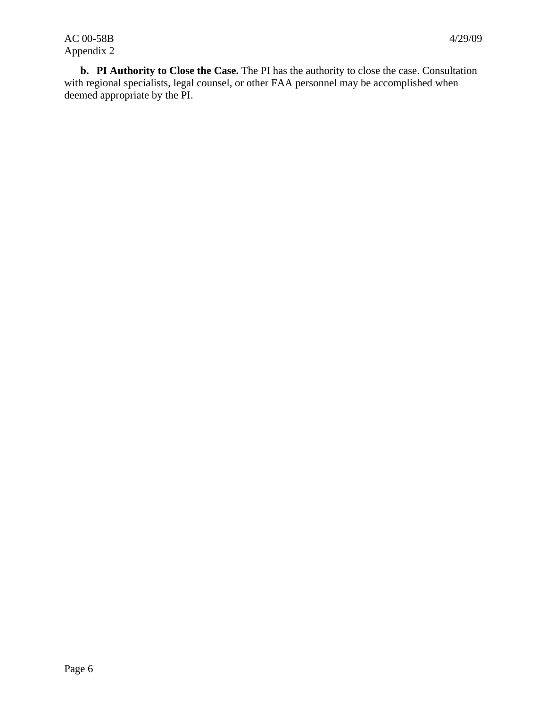**b. PI Authority to Close the Case.** The PI has the authority to close the case. Consultation with regional specialists, legal counsel, or other FAA personnel may be accomplished when deemed appropriate by the PI.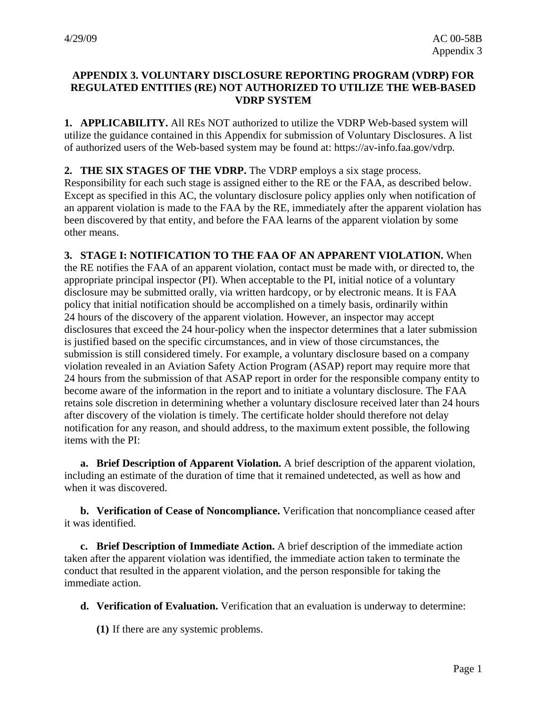#### **APPENDIX 3. VOLUNTARY DISCLOSURE REPORTING PROGRAM (VDRP) FOR REGULATED ENTITIES (RE) NOT AUTHORIZED TO UTILIZE THE WEB-BASED VDRP SYSTEM**

**1. APPLICABILITY.** All REs NOT authorized to utilize the VDRP Web-based system will utilize the guidance contained in this Appendix for submission of Voluntary Disclosures. A list of authorized users of the Web-based system may be found at: https://av-info.faa.gov/vdrp.

**2. THE SIX STAGES OF THE VDRP.** The VDRP employs a six stage process.

Responsibility for each such stage is assigned either to the RE or the FAA, as described below. Except as specified in this AC, the voluntary disclosure policy applies only when notification of an apparent violation is made to the FAA by the RE, immediately after the apparent violation has been discovered by that entity, and before the FAA learns of the apparent violation by some other means.

**3. STAGE I: NOTIFICATION TO THE FAA OF AN APPARENT VIOLATION.** When the RE notifies the FAA of an apparent violation, contact must be made with, or directed to, the appropriate principal inspector (PI). When acceptable to the PI, initial notice of a voluntary disclosure may be submitted orally, via written hardcopy, or by electronic means. It is FAA policy that initial notification should be accomplished on a timely basis, ordinarily within 24 hours of the discovery of the apparent violation. However, an inspector may accept disclosures that exceed the 24 hour-policy when the inspector determines that a later submission is justified based on the specific circumstances, and in view of those circumstances, the submission is still considered timely. For example, a voluntary disclosure based on a company violation revealed in an Aviation Safety Action Program (ASAP) report may require more that 24 hours from the submission of that ASAP report in order for the responsible company entity to become aware of the information in the report and to initiate a voluntary disclosure. The FAA retains sole discretion in determining whether a voluntary disclosure received later than 24 hours after discovery of the violation is timely. The certificate holder should therefore not delay notification for any reason, and should address, to the maximum extent possible, the following items with the PI:

**a. Brief Description of Apparent Violation.** A brief description of the apparent violation, including an estimate of the duration of time that it remained undetected, as well as how and when it was discovered.

**b. Verification of Cease of Noncompliance.** Verification that noncompliance ceased after it was identified.

**c. Brief Description of Immediate Action.** A brief description of the immediate action taken after the apparent violation was identified, the immediate action taken to terminate the conduct that resulted in the apparent violation, and the person responsible for taking the immediate action.

**d. Verification of Evaluation.** Verification that an evaluation is underway to determine:

**(1)** If there are any systemic problems.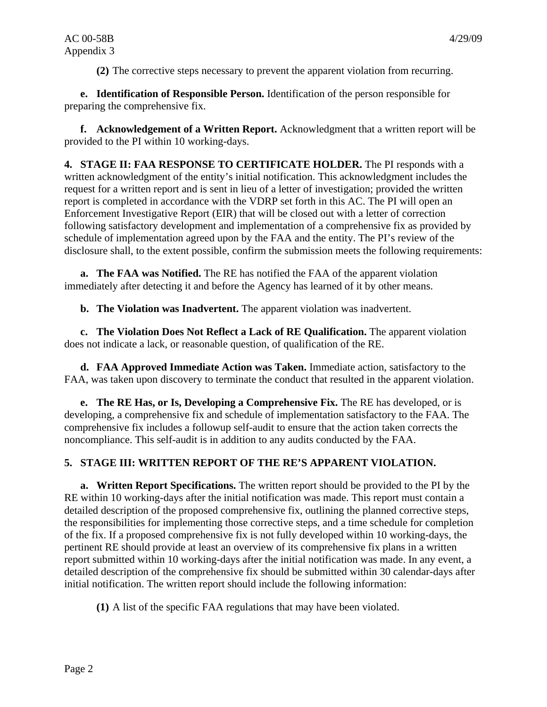**(2)** The corrective steps necessary to prevent the apparent violation from recurring.

**e. Identification of Responsible Person.** Identification of the person responsible for preparing the comprehensive fix.

**f. Acknowledgement of a Written Report.** Acknowledgment that a written report will be provided to the PI within 10 working-days.

**4. STAGE II: FAA RESPONSE TO CERTIFICATE HOLDER.** The PI responds with a written acknowledgment of the entity's initial notification. This acknowledgment includes the request for a written report and is sent in lieu of a letter of investigation; provided the written report is completed in accordance with the VDRP set forth in this AC. The PI will open an Enforcement Investigative Report (EIR) that will be closed out with a letter of correction following satisfactory development and implementation of a comprehensive fix as provided by schedule of implementation agreed upon by the FAA and the entity. The PI's review of the disclosure shall, to the extent possible, confirm the submission meets the following requirements:

**a. The FAA was Notified.** The RE has notified the FAA of the apparent violation immediately after detecting it and before the Agency has learned of it by other means.

**b. The Violation was Inadvertent.** The apparent violation was inadvertent.

**c. The Violation Does Not Reflect a Lack of RE Qualification.** The apparent violation does not indicate a lack, or reasonable question, of qualification of the RE.

**d. FAA Approved Immediate Action was Taken.** Immediate action, satisfactory to the FAA, was taken upon discovery to terminate the conduct that resulted in the apparent violation.

**e. The RE Has, or Is, Developing a Comprehensive Fix.** The RE has developed, or is developing, a comprehensive fix and schedule of implementation satisfactory to the FAA. The comprehensive fix includes a followup self-audit to ensure that the action taken corrects the noncompliance. This self-audit is in addition to any audits conducted by the FAA.

# **5. STAGE III: WRITTEN REPORT OF THE RE'S APPARENT VIOLATION.**

**a. Written Report Specifications.** The written report should be provided to the PI by the RE within 10 working-days after the initial notification was made. This report must contain a detailed description of the proposed comprehensive fix, outlining the planned corrective steps, the responsibilities for implementing those corrective steps, and a time schedule for completion of the fix. If a proposed comprehensive fix is not fully developed within 10 working-days, the pertinent RE should provide at least an overview of its comprehensive fix plans in a written report submitted within 10 working-days after the initial notification was made. In any event, a detailed description of the comprehensive fix should be submitted within 30 calendar-days after initial notification. The written report should include the following information:

**(1)** A list of the specific FAA regulations that may have been violated.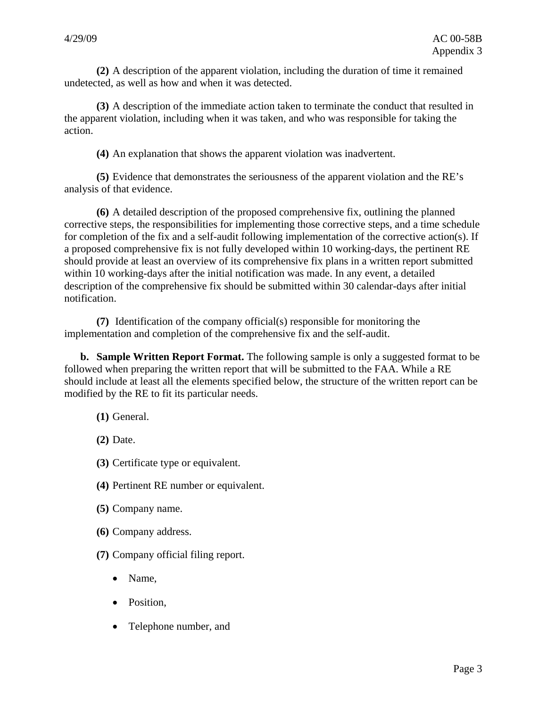**(2)** A description of the apparent violation, including the duration of time it remained undetected, as well as how and when it was detected.

**(3)** A description of the immediate action taken to terminate the conduct that resulted in the apparent violation, including when it was taken, and who was responsible for taking the action.

**(4)** An explanation that shows the apparent violation was inadvertent.

**(5)** Evidence that demonstrates the seriousness of the apparent violation and the RE's analysis of that evidence.

**(6)** A detailed description of the proposed comprehensive fix, outlining the planned corrective steps, the responsibilities for implementing those corrective steps, and a time schedule for completion of the fix and a self-audit following implementation of the corrective action(s). If a proposed comprehensive fix is not fully developed within 10 working-days, the pertinent RE should provide at least an overview of its comprehensive fix plans in a written report submitted within 10 working-days after the initial notification was made. In any event, a detailed description of the comprehensive fix should be submitted within 30 calendar-days after initial notification.

**(7)** Identification of the company official(s) responsible for monitoring the implementation and completion of the comprehensive fix and the self-audit.

**b. Sample Written Report Format.** The following sample is only a suggested format to be followed when preparing the written report that will be submitted to the FAA. While a RE should include at least all the elements specified below, the structure of the written report can be modified by the RE to fit its particular needs.

**(1)** General.

**(2)** Date.

**(3)** Certificate type or equivalent.

**(4)** Pertinent RE number or equivalent.

**(5)** Company name.

**(6)** Company address.

**(7)** Company official filing report.

• Name,

• Position,

• Telephone number, and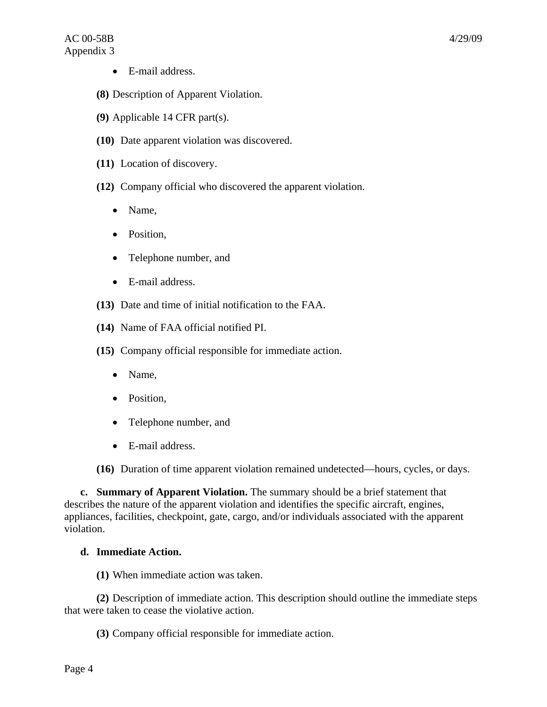- E-mail address.
- **(8)** Description of Apparent Violation.
- **(9)** Applicable 14 CFR part(s).
- **(10)** Date apparent violation was discovered.
- **(11)** Location of discovery.
- **(12)** Company official who discovered the apparent violation.
	- Name,
	- Position,
	- Telephone number, and
	- E-mail address.
- **(13)** Date and time of initial notification to the FAA.
- **(14)** Name of FAA official notified PI.
- **(15)** Company official responsible for immediate action.
	- Name.
	- Position,
	- Telephone number, and
	- E-mail address.

**(16)** Duration of time apparent violation remained undetected—hours, cycles, or days.

**c. Summary of Apparent Violation.** The summary should be a brief statement that describes the nature of the apparent violation and identifies the specific aircraft, engines, appliances, facilities, checkpoint, gate, cargo, and/or individuals associated with the apparent violation.

#### **d. Immediate Action.**

**(1)** When immediate action was taken.

**(2)** Description of immediate action. This description should outline the immediate steps that were taken to cease the violative action.

**(3)** Company official responsible for immediate action.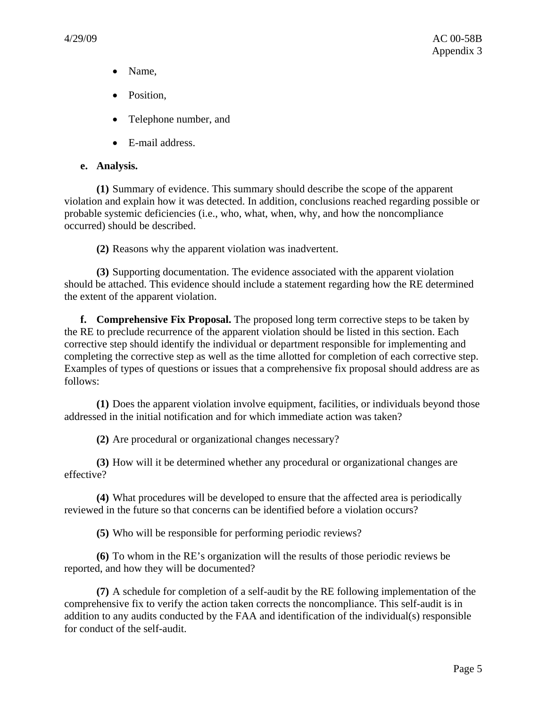- Name,
- Position.
- Telephone number, and
- E-mail address.

## **e. Analysis.**

**(1)** Summary of evidence. This summary should describe the scope of the apparent violation and explain how it was detected. In addition, conclusions reached regarding possible or probable systemic deficiencies (i.e., who, what, when, why, and how the noncompliance occurred) should be described.

**(2)** Reasons why the apparent violation was inadvertent.

**(3)** Supporting documentation. The evidence associated with the apparent violation should be attached. This evidence should include a statement regarding how the RE determined the extent of the apparent violation.

**f. Comprehensive Fix Proposal.** The proposed long term corrective steps to be taken by the RE to preclude recurrence of the apparent violation should be listed in this section. Each corrective step should identify the individual or department responsible for implementing and completing the corrective step as well as the time allotted for completion of each corrective step. Examples of types of questions or issues that a comprehensive fix proposal should address are as follows:

**(1)** Does the apparent violation involve equipment, facilities, or individuals beyond those addressed in the initial notification and for which immediate action was taken?

**(2)** Are procedural or organizational changes necessary?

**(3)** How will it be determined whether any procedural or organizational changes are effective?

**(4)** What procedures will be developed to ensure that the affected area is periodically reviewed in the future so that concerns can be identified before a violation occurs?

**(5)** Who will be responsible for performing periodic reviews?

**(6)** To whom in the RE's organization will the results of those periodic reviews be reported, and how they will be documented?

**(7)** A schedule for completion of a self-audit by the RE following implementation of the comprehensive fix to verify the action taken corrects the noncompliance. This self-audit is in addition to any audits conducted by the FAA and identification of the individual(s) responsible for conduct of the self-audit.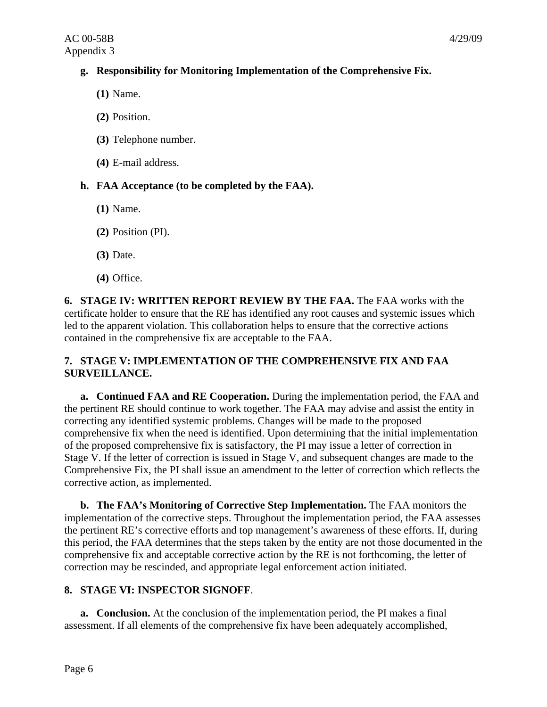# **g. Responsibility for Monitoring Implementation of the Comprehensive Fix.**

- **(1)** Name.
- **(2)** Position.
- **(3)** Telephone number.
- **(4)** E-mail address.

# **h. FAA Acceptance (to be completed by the FAA).**

- **(1)** Name.
- **(2)** Position (PI).
- **(3)** Date.
- **(4)** Office.

**6. STAGE IV: WRITTEN REPORT REVIEW BY THE FAA.** The FAA works with the certificate holder to ensure that the RE has identified any root causes and systemic issues which led to the apparent violation. This collaboration helps to ensure that the corrective actions contained in the comprehensive fix are acceptable to the FAA.

# **7. STAGE V: IMPLEMENTATION OF THE COMPREHENSIVE FIX AND FAA SURVEILLANCE.**

**a. Continued FAA and RE Cooperation.** During the implementation period, the FAA and the pertinent RE should continue to work together. The FAA may advise and assist the entity in correcting any identified systemic problems. Changes will be made to the proposed comprehensive fix when the need is identified. Upon determining that the initial implementation of the proposed comprehensive fix is satisfactory, the PI may issue a letter of correction in Stage V. If the letter of correction is issued in Stage V, and subsequent changes are made to the Comprehensive Fix, the PI shall issue an amendment to the letter of correction which reflects the corrective action, as implemented.

**b. The FAA's Monitoring of Corrective Step Implementation.** The FAA monitors the implementation of the corrective steps. Throughout the implementation period, the FAA assesses the pertinent RE's corrective efforts and top management's awareness of these efforts. If, during this period, the FAA determines that the steps taken by the entity are not those documented in the comprehensive fix and acceptable corrective action by the RE is not forthcoming, the letter of correction may be rescinded, and appropriate legal enforcement action initiated.

#### **8. STAGE VI: INSPECTOR SIGNOFF**.

**a. Conclusion.** At the conclusion of the implementation period, the PI makes a final assessment. If all elements of the comprehensive fix have been adequately accomplished,